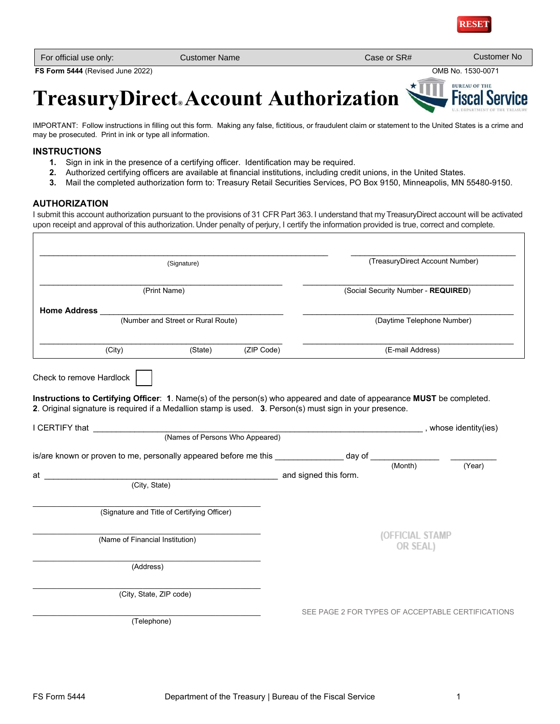

| For official use only: | Customer Name | Case or SR# | <b>Customer No</b> |
|------------------------|---------------|-------------|--------------------|
|------------------------|---------------|-------------|--------------------|

**FS Form 5444** (Revised June 2022) OMB No. 1530-0071

**BUREAU OF THE Fiscal Ser** 

ice

# **TreasuryDirect® Account Authorization**

IMPORTANT: Follow instructions in filling out this form. Making any false, fictitious, or fraudulent claim or statement to the United States is a crime and may be prosecuted. Print in ink or type all information.

# **INSTRUCTIONS**

- **1.** Sign in ink in the presence of a certifying officer. Identification may be required.
- **2.** Authorized certifying officers are available at financial institutions, including credit unions, in the United States.
- **3.** Mail the completed authorization form to: Treasury Retail Securities Services, PO Box 9150, Minneapolis, MN 55480-9150.

# **AUTHORIZATION**

I submit this account authorization pursuant to the provisions of 31 CFR Part 363. I understand that my TreasuryDirect account will be activated upon receipt and approval of this authorization. Under penalty of perjury, I certify the information provided is true, correct and complete.

| (Signature)<br>(Print Name)        |                                                                                                                        |                                                                                                                | (TreasuryDirect Account Number)<br>(Social Security Number - REQUIRED) |                  |                                                   |
|------------------------------------|------------------------------------------------------------------------------------------------------------------------|----------------------------------------------------------------------------------------------------------------|------------------------------------------------------------------------|------------------|---------------------------------------------------|
|                                    |                                                                                                                        |                                                                                                                |                                                                        |                  |                                                   |
| <b>Home Address</b>                |                                                                                                                        |                                                                                                                |                                                                        |                  |                                                   |
| (Number and Street or Rural Route) |                                                                                                                        |                                                                                                                | (Daytime Telephone Number)                                             |                  |                                                   |
| (City)                             | (State)                                                                                                                | (ZIP Code)                                                                                                     |                                                                        | (E-mail Address) |                                                   |
| Check to remove Hardlock           |                                                                                                                        |                                                                                                                |                                                                        |                  |                                                   |
|                                    |                                                                                                                        |                                                                                                                |                                                                        |                  |                                                   |
|                                    | Instructions to Certifying Officer: 1. Name(s) of the person(s) who appeared and date of appearance MUST be completed. |                                                                                                                |                                                                        |                  |                                                   |
|                                    | 2. Original signature is required if a Medallion stamp is used. 3. Person(s) must sign in your presence.               |                                                                                                                |                                                                        |                  |                                                   |
|                                    |                                                                                                                        |                                                                                                                |                                                                        |                  |                                                   |
|                                    |                                                                                                                        |                                                                                                                |                                                                        |                  |                                                   |
|                                    |                                                                                                                        | whose identity (ies) and the contract of the contract of the contract of the contract of the contract of the c |                                                                        |                  |                                                   |
|                                    |                                                                                                                        |                                                                                                                |                                                                        |                  |                                                   |
|                                    |                                                                                                                        |                                                                                                                |                                                                        |                  |                                                   |
|                                    | is/are known or proven to me, personally appeared before me this _______________ day of ____________                   |                                                                                                                |                                                                        |                  | (Year)                                            |
|                                    | (City, State) and signed this form.                                                                                    |                                                                                                                |                                                                        |                  |                                                   |
|                                    |                                                                                                                        |                                                                                                                |                                                                        |                  |                                                   |
|                                    | (Signature and Title of Certifying Officer)                                                                            |                                                                                                                |                                                                        |                  |                                                   |
|                                    |                                                                                                                        |                                                                                                                |                                                                        |                  |                                                   |
|                                    |                                                                                                                        |                                                                                                                |                                                                        | (OFFICIAL STAMP  |                                                   |
|                                    | (Name of Financial Institution)                                                                                        |                                                                                                                |                                                                        | OR SEAL)         |                                                   |
|                                    |                                                                                                                        |                                                                                                                |                                                                        |                  |                                                   |
|                                    | (Address)                                                                                                              |                                                                                                                |                                                                        |                  |                                                   |
|                                    |                                                                                                                        |                                                                                                                |                                                                        |                  |                                                   |
| at a                               | (City, State, ZIP code)                                                                                                |                                                                                                                |                                                                        |                  |                                                   |
|                                    | (Telephone)                                                                                                            |                                                                                                                |                                                                        |                  | SEE PAGE 2 FOR TYPES OF ACCEPTABLE CERTIFICATIONS |